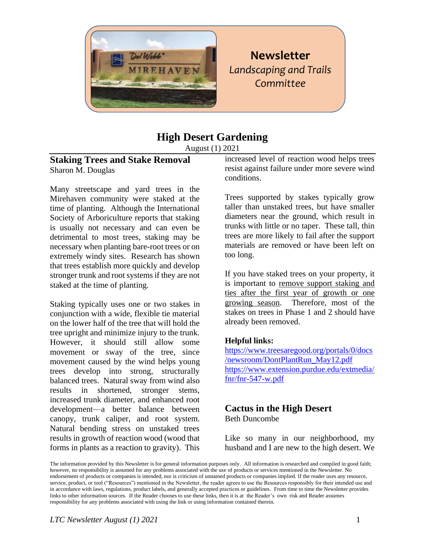

# **Newsletter** *Landscaping and Trails Committee*

# **High Desert Gardening**

August (1) 2021

### **Staking Trees and Stake Removal** Sharon M. Douglas

Many streetscape and yard trees in the Mirehaven community were staked at the time of planting. Although the International Society of Arboriculture reports that staking is usually not necessary and can even be detrimental to most trees, staking may be necessary when planting bare-root trees or on extremely windy sites. Research has shown that trees establish more quickly and develop stronger trunk and root systems if they are not staked at the time of planting.

Staking typically uses one or two stakes in conjunction with a wide, flexible tie material on the lower half of the tree that will hold the tree upright and minimize injury to the trunk. However, it should still allow some movement or sway of the tree, since movement caused by the wind helps young trees develop into strong, structurally balanced trees. Natural sway from wind also results in shortened, stronger stems, increased trunk diameter, and enhanced root development—a better balance between canopy, trunk caliper, and root system. Natural bending stress on unstaked trees results in growth of reaction wood (wood that forms in plants as a reaction to gravity). This

increased level of reaction wood helps trees resist against failure under more severe wind conditions.

Trees supported by stakes typically grow taller than unstaked trees, but have smaller diameters near the ground, which result in trunks with little or no taper. These tall, thin trees are more likely to fail after the support materials are removed or have been left on too long.

If you have staked trees on your property, it is important to remove support staking and ties after the first year of growth or one growing season. Therefore, most of the stakes on trees in Phase 1 and 2 should have already been removed.

#### **Helpful links:**

[https://www.treesaregood.org/portals/0/docs](https://www.treesaregood.org/portals/0/docs/newsroom/DontPlantRun_May12.pdf) [/newsroom/DontPlantRun\\_May12.pdf](https://www.treesaregood.org/portals/0/docs/newsroom/DontPlantRun_May12.pdf) [https://www.extension.purdue.edu/extmedia/](https://www.extension.purdue.edu/extmedia/fnr/fnr-547-w.pdf) [fnr/fnr-547-w.pdf](https://www.extension.purdue.edu/extmedia/fnr/fnr-547-w.pdf)

#### **Cactus in the High Desert**  Beth Duncombe

Like so many in our neighborhood, my husband and I are new to the high desert. We

The information provided by this Newsletter is for general information purposes only. All information is researched and compiled in good faith; however, no responsibility is assumed for any problems associated with the use of products or services mentioned in the Newsletter. No endorsement of products or companies is intended, nor is criticism of unnamed products or companies implied. If the reader uses any resource, service, product, or tool ("Resources") mentioned in the Newsletter, the reader agrees to use the Resources responsibly for their intended use and in accordance with laws, regulations, product labels, and generally accepted practices or guidelines. From time to time the Newsletter provides links to other information sources. If the Reader chooses to use these links, then it is at the Reader's own risk and Reader assumes responsibility for any problems associated with using the link or using information contained therein.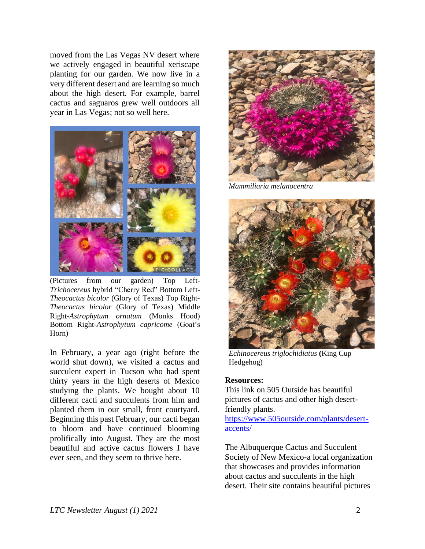moved from the Las Vegas NV desert where we actively engaged in beautiful xeriscape planting for our garden. We now live in a very different desert and are learning so much about the high desert. For example, barrel cactus and saguaros grew well outdoors all year in Las Vegas; not so well here.



(Pictures from our garden) Top Left*-Trichocereus* hybrid "Cherry Red" Bottom Left*-Theocactus bicolor* (Glory of Texas) Top Right*-Theocactus bicolor* (Glory of Texas) Middle Right*-Astrophytum ornatum* (Monks Hood) Bottom Right*-Astrophytum capricome* (Goat's Horn)

In February, a year ago (right before the world shut down), we visited a cactus and succulent expert in Tucson who had spent thirty years in the high deserts of Mexico studying the plants. We bought about 10 different cacti and succulents from him and planted them in our small, front courtyard. Beginning this past February, our cacti began to bloom and have continued blooming prolifically into August. They are the most beautiful and active cactus flowers I have ever seen, and they seem to thrive here.



*Mammiliaria melanocentra*



*Echinocereus triglochidiatus* **(**King Cup Hedgehog)

#### **Resources:**

This link on 505 Outside has beautiful pictures of cactus and other high desertfriendly plants.

[https://www.505outside.com/plants/desert](https://www.505outside.com/plants/desert-accents/)[accents/](https://www.505outside.com/plants/desert-accents/)

The Albuquerque Cactus and Succulent Society of New Mexico-a local organization that showcases and provides information about cactus and succulents in the high desert. Their site contains beautiful pictures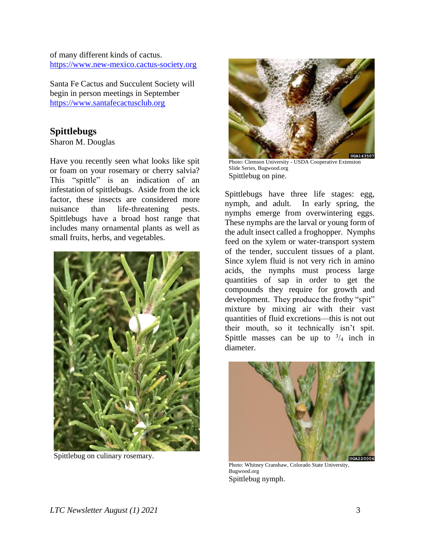of many different kinds of cactus. [https://www.new-mexico.cactus-society.org](https://www.new-mexico.cactus-society.org/)

Santa Fe Cactus and Succulent Society will begin in person meetings in September [https://www.santafecactusclub.org](https://www.santafecactusclub.org/)

## **Spittlebugs**

Sharon M. Douglas

Have you recently seen what looks like spit or foam on your rosemary or cherry salvia? This "spittle" is an indication of an infestation of spittlebugs. Aside from the ick factor, these insects are considered more nuisance than life-threatening pests. Spittlebugs have a broad host range that includes many ornamental plants as well as small fruits, herbs, and vegetables.



Spittlebug on culinary rosemary.



Photo: Clemson University - USDA Cooperative Extension Slide Series, Bugwood.org Spittlebug on pine.

Spittlebugs have three life stages: egg, nymph, and adult. In early spring, the nymphs emerge from overwintering eggs. These nymphs are the larval or young form of the adult insect called a froghopper. Nymphs feed on the xylem or water-transport system of the tender, succulent tissues of a plant. Since xylem fluid is not very rich in amino acids, the nymphs must process large quantities of sap in order to get the compounds they require for growth and development. They produce the frothy "spit" mixture by mixing air with their vast quantities of fluid excretions—this is not out their mouth, so it technically isn't spit. Spittle masses can be up to  $\frac{3}{4}$  inch in diameter.



Photo: Whitney Cranshaw, Colorado State University, Bugwood.org Spittlebug nymph.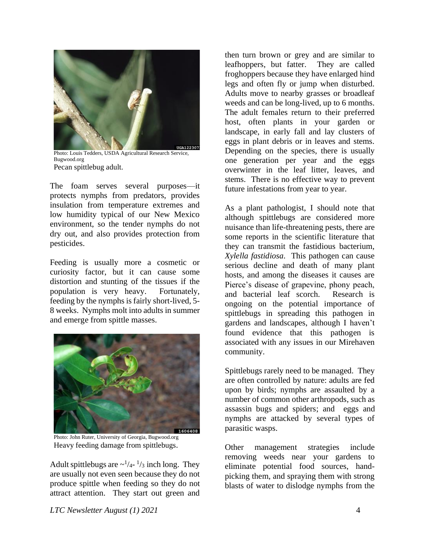

Photo: Louis Tedders, USDA Agricultural Research Service, Bugwood.org Pecan spittlebug adult.

The foam serves several purposes—it protects nymphs from predators, provides insulation from temperature extremes and low humidity typical of our New Mexico environment, so the tender nymphs do not dry out, and also provides protection from pesticides.

Feeding is usually more a cosmetic or curiosity factor, but it can cause some distortion and stunting of the tissues if the population is very heavy. Fortunately, feeding by the nymphs is fairly short-lived, 5- 8 weeks. Nymphs molt into adults in summer and emerge from spittle masses.



Photo: John Ruter, University of Georgia, Bugwood.org Heavy feeding damage from spittlebugs.

Adult spittlebugs are  $\sim$ <sup>1</sup>/<sub>4</sub>-<sup>1</sup>/<sub>3</sub> inch long. They are usually not even seen because they do not produce spittle when feeding so they do not attract attention. They start out green and then turn brown or grey and are similar to leafhoppers, but fatter. They are called froghoppers because they have enlarged hind legs and often fly or jump when disturbed. Adults move to nearby grasses or broadleaf weeds and can be long-lived, up to 6 months. The adult females return to their preferred host, often plants in your garden or landscape, in early fall and lay clusters of eggs in plant debris or in leaves and stems. Depending on the species, there is usually one generation per year and the eggs overwinter in the leaf litter, leaves, and stems. There is no effective way to prevent future infestations from year to year.

As a plant pathologist, I should note that although spittlebugs are considered more nuisance than life-threatening pests, there are some reports in the scientific literature that they can transmit the fastidious bacterium, *Xylella fastidiosa*. This pathogen can cause serious decline and death of many plant hosts, and among the diseases it causes are Pierce's disease of grapevine, phony peach, and bacterial leaf scorch. Research is ongoing on the potential importance of spittlebugs in spreading this pathogen in gardens and landscapes, although I haven't found evidence that this pathogen is associated with any issues in our Mirehaven community.

Spittlebugs rarely need to be managed. They are often controlled by nature: adults are fed upon by birds; nymphs are assaulted by a number of common other arthropods, such as assassin bugs and spiders; and eggs and nymphs are attacked by several types of parasitic wasps.

Other management strategies include removing weeds near your gardens to eliminate potential food sources, handpicking them, and spraying them with strong blasts of water to dislodge nymphs from the